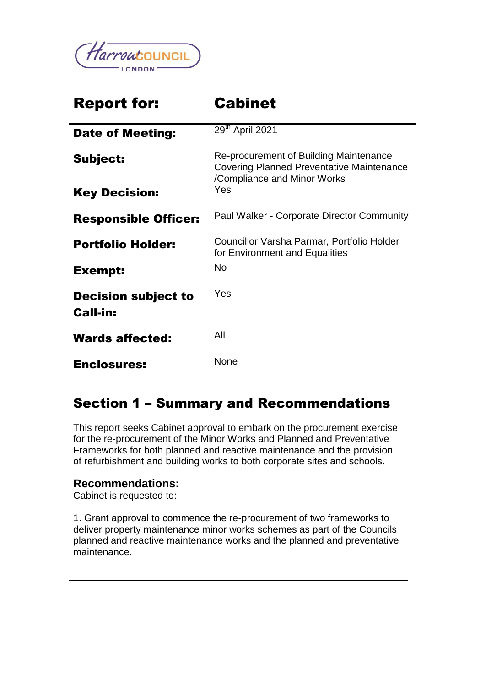

# Report for: Cabinet

| <b>Date of Meeting:</b>                       | 29 <sup>th</sup> April 2021                                                                                               |
|-----------------------------------------------|---------------------------------------------------------------------------------------------------------------------------|
| Subject:                                      | Re-procurement of Building Maintenance<br><b>Covering Planned Preventative Maintenance</b><br>/Compliance and Minor Works |
| <b>Key Decision:</b>                          | Yes                                                                                                                       |
| <b>Responsible Officer:</b>                   | <b>Paul Walker - Corporate Director Community</b>                                                                         |
| <b>Portfolio Holder:</b>                      | Councillor Varsha Parmar, Portfolio Holder<br>for Environment and Equalities                                              |
| Exempt:                                       | <b>No</b>                                                                                                                 |
| <b>Decision subject to</b><br><b>Call-in:</b> | Yes                                                                                                                       |
| <b>Wards affected:</b>                        | All                                                                                                                       |
| <b>Enclosures:</b>                            | None                                                                                                                      |

# Section 1 – Summary and Recommendations

This report seeks Cabinet approval to embark on the procurement exercise for the re-procurement of the Minor Works and Planned and Preventative Frameworks for both planned and reactive maintenance and the provision of refurbishment and building works to both corporate sites and schools.

#### **Recommendations:**

Cabinet is requested to:

1. Grant approval to commence the re-procurement of two frameworks to deliver property maintenance minor works schemes as part of the Councils planned and reactive maintenance works and the planned and preventative maintenance.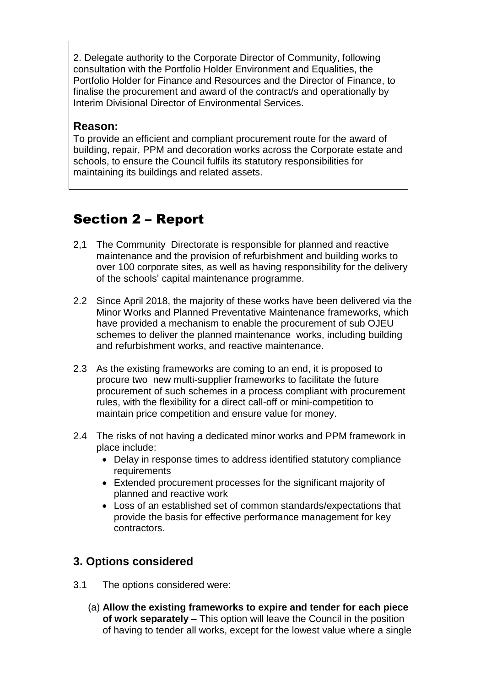2. Delegate authority to the Corporate Director of Community, following consultation with the Portfolio Holder Environment and Equalities, the Portfolio Holder for Finance and Resources and the Director of Finance, to finalise the procurement and award of the contract/s and operationally by Interim Divisional Director of Environmental Services.

#### **Reason:**

To provide an efficient and compliant procurement route for the award of building, repair, PPM and decoration works across the Corporate estate and schools, to ensure the Council fulfils its statutory responsibilities for maintaining its buildings and related assets.

# Section 2 – Report

- 2,1 The Community Directorate is responsible for planned and reactive maintenance and the provision of refurbishment and building works to over 100 corporate sites, as well as having responsibility for the delivery of the schools' capital maintenance programme.
- 2.2 Since April 2018, the majority of these works have been delivered via the Minor Works and Planned Preventative Maintenance frameworks, which have provided a mechanism to enable the procurement of sub OJEU schemes to deliver the planned maintenance works, including building and refurbishment works, and reactive maintenance.
- 2.3 As the existing frameworks are coming to an end, it is proposed to procure two new multi-supplier frameworks to facilitate the future procurement of such schemes in a process compliant with procurement rules, with the flexibility for a direct call-off or mini-competition to maintain price competition and ensure value for money.
- 2.4 The risks of not having a dedicated minor works and PPM framework in place include:
	- Delay in response times to address identified statutory compliance requirements
	- Extended procurement processes for the significant majority of planned and reactive work
	- Loss of an established set of common standards/expectations that provide the basis for effective performance management for key contractors.

# **3. Options considered**

- 3.1 The options considered were:
	- (a) **Allow the existing frameworks to expire and tender for each piece of work separately –** This option will leave the Council in the position of having to tender all works, except for the lowest value where a single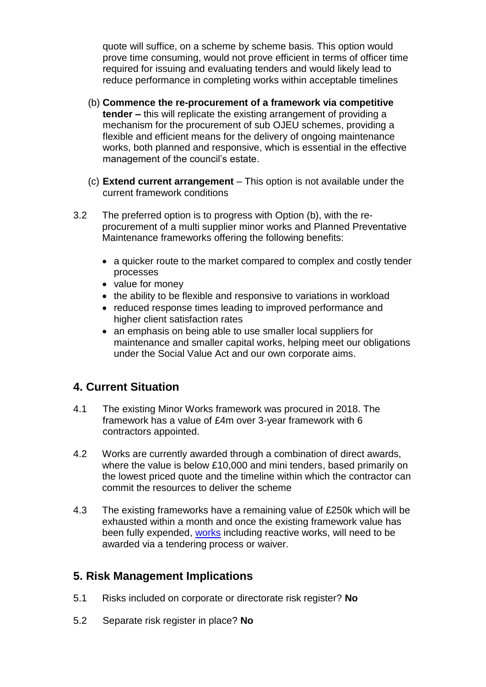quote will suffice, on a scheme by scheme basis. This option would prove time consuming, would not prove efficient in terms of officer time required for issuing and evaluating tenders and would likely lead to reduce performance in completing works within acceptable timelines

- (b) **Commence the re-procurement of a framework via competitive tender –** this will replicate the existing arrangement of providing a mechanism for the procurement of sub OJEU schemes, providing a flexible and efficient means for the delivery of ongoing maintenance works, both planned and responsive, which is essential in the effective management of the council's estate.
- (c) **Extend current arrangement** This option is not available under the current framework conditions
- 3.2 The preferred option is to progress with Option (b), with the reprocurement of a multi supplier minor works and Planned Preventative Maintenance frameworks offering the following benefits:
	- a quicker route to the market compared to complex and costly tender processes
	- value for money
	- the ability to be flexible and responsive to variations in workload
	- reduced response times leading to improved performance and higher client satisfaction rates
	- an emphasis on being able to use smaller local suppliers for maintenance and smaller capital works, helping meet our obligations under the Social Value Act and our own corporate aims.

# **4. Current Situation**

- 4.1 The existing Minor Works framework was procured in 2018. The framework has a value of £4m over 3-year framework with 6 contractors appointed.
- 4.2 Works are currently awarded through a combination of direct awards, where the value is below £10,000 and mini tenders, based primarily on the lowest priced quote and the timeline within which the contractor can commit the resources to deliver the scheme
- 4.3 The existing frameworks have a remaining value of £250k which will be exhausted within a month and once the existing framework value has been fully expended, [works](https://harrowcouncil-my.sharepoint.com/personal/may_patel_harrow_gov_uk/Documents/Documents/letterhead.doc?web=1) including reactive works, will need to be awarded via a tendering process or waiver.

# **5. Risk Management Implications**

- 5.1 Risks included on corporate or directorate risk register? **No**
- 5.2 Separate risk register in place? **No**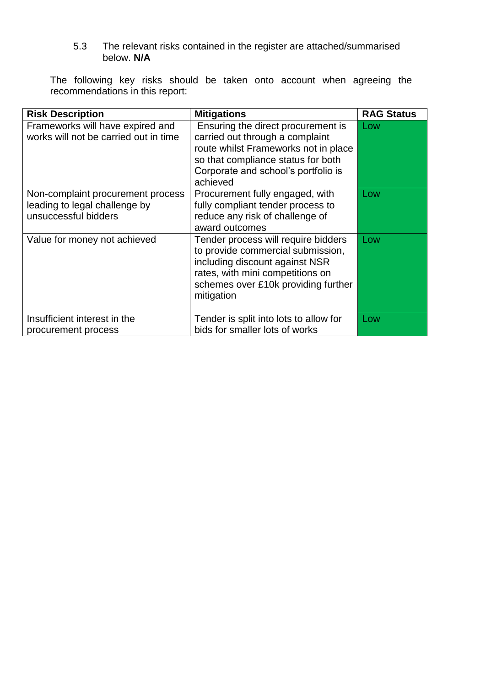5.3 The relevant risks contained in the register are attached/summarised below. **N/A**

The following key risks should be taken onto account when agreeing the recommendations in this report:

| <b>Risk Description</b>                                                                    | <b>Mitigations</b>                                                                                                                                                                                     | <b>RAG Status</b> |
|--------------------------------------------------------------------------------------------|--------------------------------------------------------------------------------------------------------------------------------------------------------------------------------------------------------|-------------------|
| Frameworks will have expired and<br>works will not be carried out in time                  | Ensuring the direct procurement is<br>carried out through a complaint<br>route whilst Frameworks not in place<br>so that compliance status for both<br>Corporate and school's portfolio is<br>achieved | Low               |
| Non-complaint procurement process<br>leading to legal challenge by<br>unsuccessful bidders | Procurement fully engaged, with<br>fully compliant tender process to<br>reduce any risk of challenge of<br>award outcomes                                                                              | Low               |
| Value for money not achieved                                                               | Tender process will require bidders<br>to provide commercial submission,<br>including discount against NSR<br>rates, with mini competitions on<br>schemes over £10k providing further<br>mitigation    | Low               |
| Insufficient interest in the<br>procurement process                                        | Tender is split into lots to allow for<br>bids for smaller lots of works                                                                                                                               | Low               |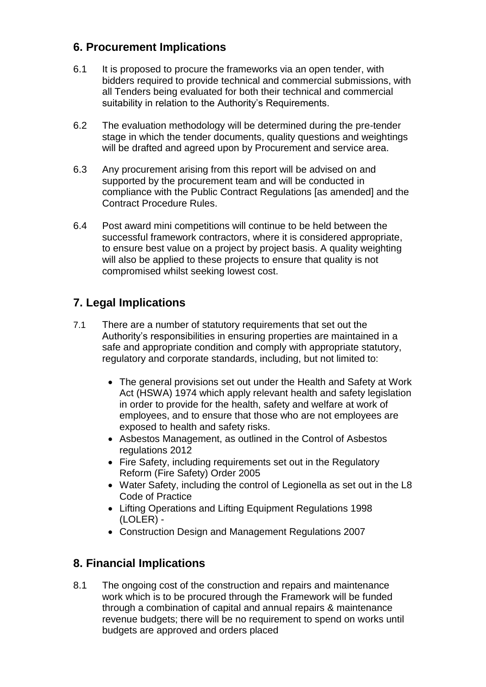# **6. Procurement Implications**

- 6.1 It is proposed to procure the frameworks via an open tender, with bidders required to provide technical and commercial submissions, with all Tenders being evaluated for both their technical and commercial suitability in relation to the Authority's Requirements.
- 6.2 The evaluation methodology will be determined during the pre-tender stage in which the tender documents, quality questions and weightings will be drafted and agreed upon by Procurement and service area.
- 6.3 Any procurement arising from this report will be advised on and supported by the procurement team and will be conducted in compliance with the Public Contract Regulations [as amended] and the Contract Procedure Rules.
- 6.4 Post award mini competitions will continue to be held between the successful framework contractors, where it is considered appropriate, to ensure best value on a project by project basis. A quality weighting will also be applied to these projects to ensure that quality is not compromised whilst seeking lowest cost.

# **7. Legal Implications**

- 7.1 There are a number of statutory requirements that set out the Authority's responsibilities in ensuring properties are maintained in a safe and appropriate condition and comply with appropriate statutory, regulatory and corporate standards, including, but not limited to:
	- The general provisions set out under the Health and Safety at Work Act (HSWA) 1974 which apply relevant health and safety legislation in order to provide for the health, safety and welfare at work of employees, and to ensure that those who are not employees are exposed to health and safety risks.
	- Asbestos Management, as outlined in the Control of Asbestos regulations 2012
	- Fire Safety, including requirements set out in the Regulatory Reform (Fire Safety) Order 2005
	- Water Safety, including the control of Legionella as set out in the L8 Code of Practice
	- Lifting Operations and Lifting Equipment Regulations 1998 (LOLER) -
	- Construction Design and Management Regulations 2007

# **8. Financial Implications**

8.1 The ongoing cost of the construction and repairs and maintenance work which is to be procured through the Framework will be funded through a combination of capital and annual repairs & maintenance revenue budgets; there will be no requirement to spend on works until budgets are approved and orders placed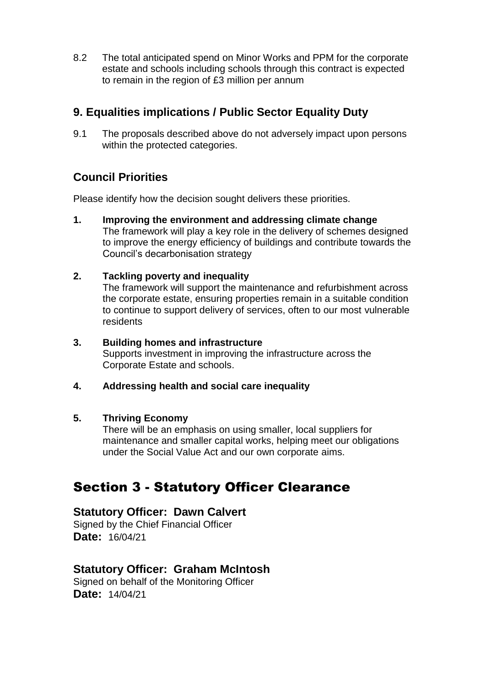8.2 The total anticipated spend on Minor Works and PPM for the corporate estate and schools including schools through this contract is expected to remain in the region of £3 million per annum

# **9. Equalities implications / Public Sector Equality Duty**

9.1 The proposals described above do not adversely impact upon persons within the protected categories.

# **Council Priorities**

Please identify how the decision sought delivers these priorities.

- **1. Improving the environment and addressing climate change** The framework will play a key role in the delivery of schemes designed to improve the energy efficiency of buildings and contribute towards the Council's decarbonisation strategy
- **2. Tackling poverty and inequality**

The framework will support the maintenance and refurbishment across the corporate estate, ensuring properties remain in a suitable condition to continue to support delivery of services, often to our most vulnerable residents

- **3. Building homes and infrastructure** Supports investment in improving the infrastructure across the Corporate Estate and schools.
- **4. Addressing health and social care inequality**

#### **5. Thriving Economy**

There will be an emphasis on using smaller, local suppliers for maintenance and smaller capital works, helping meet our obligations under the Social Value Act and our own corporate aims.

# Section 3 - Statutory Officer Clearance

#### **Statutory Officer: Dawn Calvert**

Signed by the Chief Financial Officer **Date:** 16/04/21

# **Statutory Officer: Graham McIntosh**

Signed on behalf of the Monitoring Officer **Date:** 14/04/21